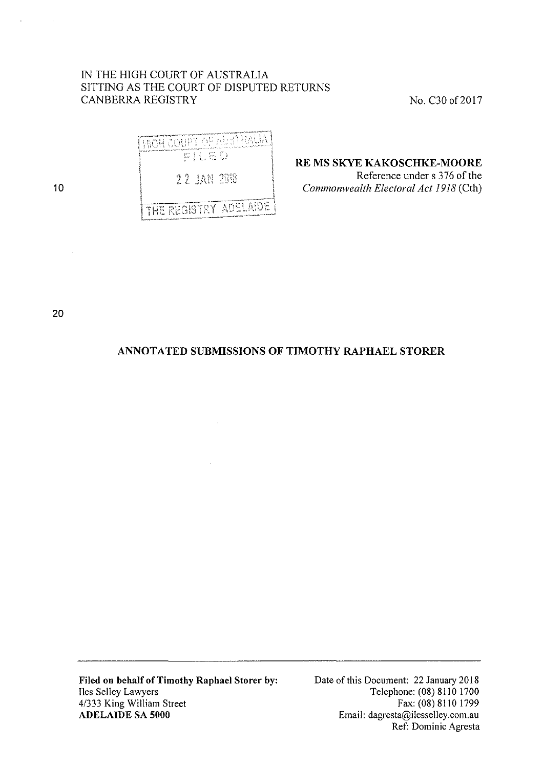# IN THE HIGH COURT OF AUSTRALIA SITTING AS THE COURT OF DISPUTED RETURNS CANBERRA REGISTRY No. C30 of 2017

| i high coupt of alstrauat |  |
|---------------------------|--|
| 罗扎拉亚                      |  |
| 22 IAN 2018               |  |

THE REGISTRY ADELAIDE

10

**RE MS SKYE KAKOSCHKE-MOORE**  Reference under s 3 76 of the

*Commonwealth Electoral Act 1918* (Cth)

20

# **ANNOTATED SUBMISSIONS OF TIMOTHY RAPHAEL STORER**

**Filed on behalf of Timothy Raphael Storer by:**  Iles Selley Lawyers 4/333 King William Street **ADELAIDE SA 5000** 

Date of this Document: 22 January 2018 Telephone: (08) 8110 1700 Fax: (08) 8110 1799 Email: dagresta@ilesselley.com.au Ref: Dominic Agresta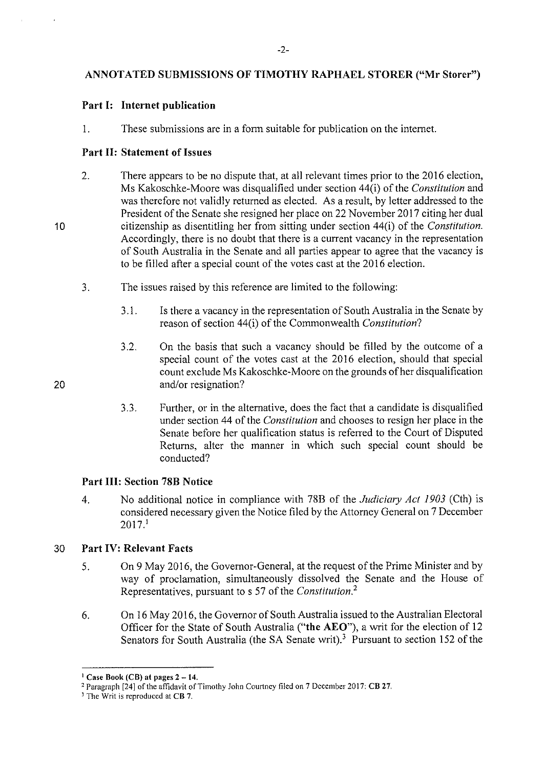# -2-

# **ANNOTATED SUBMISSIONS OF TIMOTHY RAPHAEL STORER ("Mr Storer")**

# **Part I: Internet publication**

1. These submissions are in a form suitable for publication on the interne!.

# **Part 11: Statement of Issues**

- 2. There appears to be no dispute that, at all relevant times prior to the 2016 election, Ms Kakoschke-Moore was disqualified under section 44(i) of the *Constitution* and was therefore not validly returned as elected. As a result, by letter addressed to the President of the Senate she resigned her place on 22 November 2017 citing her dual citizenship as disentitling her from sitting under section 44(i) of the *Constitution.*  Accordingly, there is no doubt that there is a current vacancy in the representation of South Australia in the Senate and all parties appear to agree that the vacancy is to be filled after a special count of the votes cast at the 2016 election.
- 3. The issues raised by this reference are limited to the following:
	- 3 .1. Is there a vacancy in the representation of South Australia in the Senate by reason of section 44(i) of the Commonwealth *Constitution?*
	- 3.2. On the basis that such a vacancy should be filled by the outcome of a special count of the votes cast at the 2016 election, should that special count exclude Ms Kakoschke-Moore on the grounds of her disqualification and/or resignation?
	- 3.3. Further, or in the alternative, does the fact that a candidate is disqualified under section 44 of the *Constitution* and chooses to resign her place in the Senate before her qualification status is referred to the Court of Disputed Returns, alter the manner in which such special count should be conducted?

# **Part Ill: Section 78B Notice**

4. No additional notice in compliance with 78B of the *Judiciary Act 1903* (Cth) is considered necessary given the Notice filed by the Attorney General on 7 December  $2017<sup>1</sup>$ 

# 30 **Part IV: Relevant Facts**

- 5. On 9 May 2016, the Governor-General, at the request of the Prime Minister and by way of proclamation, simultaneously dissolved the Senate and the House of Representatives, pursuant to s 57 of the *Constitution. <sup>2</sup>*
- 6. On 16 May 2016, the Governor of South Australia issued to the Australian Electoral Officer for the State of South Australia **("the AEO"),** a writ for the election of 12 Senators for South Australia (the SA Senate writ).<sup>3</sup> Pursuant to section 152 of the

10

<sup>1</sup> Case Book (CB) at pages **2-14.** 

<sup>2</sup> Paragraph [24] of the affidavit of Timothy John Courtney filed on 7 December 2017: CB 27. 3 **The Writ is reproduced at CB 7.**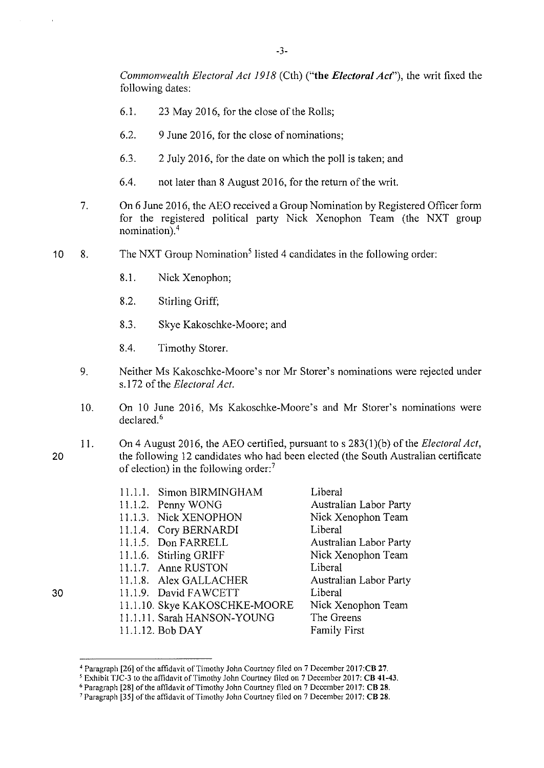*Commonwealth Electoral Act 1918* (Cth) ("the *Electoral Act*"), the writ fixed the following dates:

- 6.1. 23 May 2016, for the close of the Rolls;
- 6.2. 9 June 2016, for the close of nominations;
- 6.3. 2 July 2016, for the date on which the poll is taken; and
- 6.4. not later than 8 August 2016, for the return of the writ.
- 7. On 6 June 2016, the AEO received a Group Nomination by Registered Officer form for the registered political party Nick Xenophon Team (the NXT group nomination).<sup>4</sup>
- 10 8. The NXT Group Nomination<sup>5</sup> listed 4 candidates in the following order:
	- 8.1. Nick Xenophon;
	- 8.2. Stirling Griff;
	- 8.3. Skye Kakoschke-Moore; and
	- 8.4. Timothy Storer.
	- 9. Neither Ms Kakoschke-Moore's nor Mr Storer's nominations were rejected under s.172 of the *Electoral Act.*
	- 10. On 10 June 2016, Ms Kakoschke-Moore's and Mr Storer's nominations were declared. <sup>6</sup>
	- 11. On 4 August 2016, the AEO certified, pursuant to s 283(1 )(b) of the *Electoral Act,*  the following 12 candidates who had been elected (the South Australian certificate of election) in the following order:<sup>7</sup>

| 11.1.1 Simon BIRMINGHAM       | Liberal                       |
|-------------------------------|-------------------------------|
| 11.1.2. Penny WONG            | Australian Labor Party        |
| 11.1.3. Nick XENOPHON         | Nick Xenophon Team            |
| 11.1.4. Cory BERNARDI         | Liberal                       |
| 11.1.5. Don FARRELL           | Australian Labor Party        |
| 11.1.6. Stirling GRIFF        | Nick Xenophon Team            |
| 11.1.7 Anne RUSTON            | Liberal                       |
| 11.1.8. Alex GALLACHER        | <b>Australian Labor Party</b> |
| 11.1.9 David FAWCETT          | Liberal                       |
| 11.1.10. Skye KAKOSCHKE-MOORE | Nick Xenophon Team            |
| 11.1.11. Sarah HANSON-YOUNG   | The Greens                    |
| 11.1.12. Bob DAY              | <b>Family First</b>           |
|                               |                               |

20

<sup>&</sup>lt;sup>4</sup> Paragraph [26] of the affidavit of Timothy John Courtney filed on 7 December 2017:CB 27.<br><sup>5</sup> Exhibit TJC-3 to the affidavit of Timothy John Courtney filed on 7 December 2017: CB 41-43.<br><sup>6</sup> Paragraph [28] of the affidav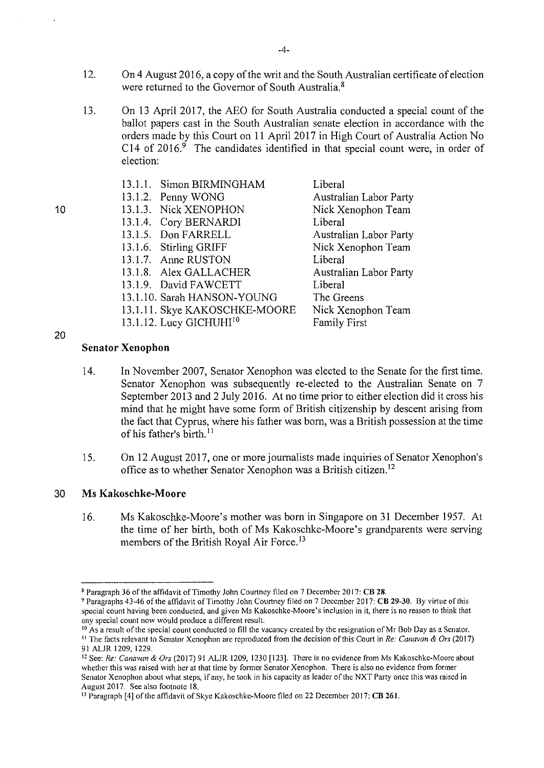- 12. On4 August 2016, a copy of the writ and the South Australian certificate of election were returned to the Governor of South Australia.<sup>8</sup>
- 13. On 13 April 2017, the AEO for South Australia conducted a special count of the ballot papers cast in the South Australian senate election in accordance with the orders made by this Court on 11 April 2017 in High Court of Australia Action No C14 of  $2016$ .<sup>9</sup> The candidates identified in that special count were, in order of election:
	- 13.1.1. Simon BIRMINGHAM 13.1.2. Penny WONG 13.1.3. Nick XENOPHON 13.1.4. Cory BERNARDI 13.1.5. Don FARRELL 13.1.6. Stirling GRJFF 13.1.7. Anne RUSTON 13.1.8. Alex GALLACHER 13.1.9. David FAWCETT 13.1.1 0. Sarah HANSON-YOUNG 13.1.11. Skye KAKOSCHKE-MOORE 13.1.12. Lucy GICHUHI<sup>10</sup> Liberal Australian Labor Party Nick Xenophon Team Liberal Australian Labor Party Nick Xenophon Team Liberal Australian Labor Party Liberal The Greens Nick Xenophon Team Family First

**Senator Xenophon** 

- 14. In November 2007, Senator Xenophon was elected to the Senate for the first time. Senator Xenophon was subsequently re-elected to the Australian Senate on 7 September 2013 and 2 July 2016. At no time prior to either election did it cross his mind that he might have some form of British citizenship by descent arising from the fact that Cyprus, where his father was born, was a British possession at the time of his father's birth. <sup>11</sup>
- 15. On 12 August 2017, one or more journalists made inquiries of Senator Xenophon's office as to whether Senator Xenophon was a British citizen. <sup>12</sup>

# 30 Ms **Kakoschkc-Moorc**

16. Ms Kakoschke-Moore's mother was born in Singapore on 31 December 1957. At the time of her birth, both of Ms Kakoschke-Moore's grandparents were serving members of the British Royal Air Force.<sup>13</sup>

# 10

<sup>&</sup>lt;sup>8</sup> Paragraph 36 of the affidavit of Timothy John Courtney filed on 7 December 2017: CB 28.<br><sup>9</sup> Paragraphs 43-46 of the affidavit of Timothy John Courtney filed on 7 December 2017: CB 29-30. By virtue of this **special count having been conducted, and given Ms Kakoschke-Moore's inclusion in it, there is no reason to think that any special count now would produce a different result.** 

<sup>&</sup>lt;sup>10</sup> As a result of the special count conducted to fill the vacancy created by the resignation of Mr Bob Day as a Senator. <sup>11</sup> The facts relevant to Senator Xenophon are reproduced from the decision of this Court in *Re: Canavan & Ors* (2017) 91 ALJR 1209, 1229.

<sup>&</sup>lt;sup>12</sup> See: *Re: Canavan & Ors* (2017) 91 ALJR 1209, 1230 [123]. There is no evidence from Ms Kakoschke-Moore about **whether this was raised with her at that time by former Senator Xenophon. There is also no evidence from former**  Senator Xenophon about what steps, if any, he took in his capacity as leader of the NXT Party once this was raised in August 2017. See also footnote 18.

<sup>&</sup>lt;sup>13</sup> Paragraph [4] of the affidavit of Skye Kakoschke-Moore filed on 22 December 2017: CB 261.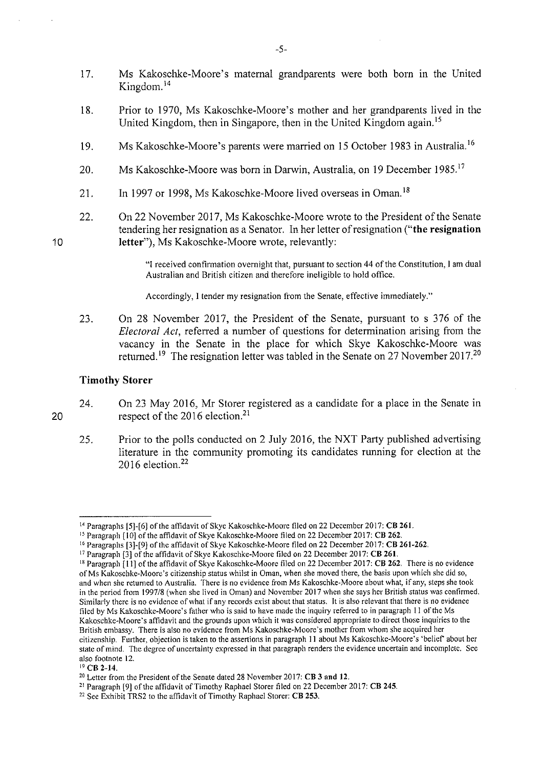- 17. Ms Kakoschke-Moore's maternal grandparents were both born in the United Kingdom. <sup>14</sup>
- 18. Prior to 1970, Ms Kakoschke-Moore's mother and her grandparents lived in the United Kingdom, then in Singapore, then in the United Kingdom again. <sup>15</sup>
- 19. Ms Kakoschke-Moore's parents were married on 15 October 1983 in Australia.<sup>16</sup>
- 20. Ms Kakoschke-Moore was born in Darwin, Australia, on 19 December 1985.<sup>17</sup>
- 21. In 1997 or 1998, Ms Kakoschke-Moore lived overseas in Oman.<sup>18</sup>
- 22. On 22 November 2017, Ms Kakoschke-Moore wrote to the President of the Senate tendering her resignation as a Senator. In her letter of resignation ("the resignation letter"), Ms Kakoschke-Moore wrote, relevantly:

"I received confirmation overnight that, pursuant to section 44 of the Constitution, I am dual Australian and British citizen and therefore ineligible to hold office.

Accordingly, I tender my resignation from the Senate, effective immediately."

23. On 28 November 2017, the President of the Senate, pursuant to s 376 of the *Electoral Act,* referred a number of questions for determination arising from the vacancy in the Senate in the place for which Skye Kakoschke-Moore was returned.<sup>19</sup> The resignation letter was tabled in the Senate on 27 November 2017.<sup>20</sup>

## Timothy Storer

- 24. On 23 May 2016, Mr Storer registered as a candidate for a place in the Senate in respect of the 2016 election.<sup>21</sup>
	- 25. Prior to the polls conducted on 2 July 2016, the NXT Party published advertising literature in the community promoting its candidates running for election at the 2016 election. $22$

20

<sup>&</sup>lt;sup>14</sup> Paragraphs [5]-[6] of the affidavit of Skye Kakoschke-Moore filed on 22 December 2017: CB 261.<br><sup>15</sup> Paragraph [10] of the affidavit of Skye Kakoschke-Moore filed on 22 December 2017: CB 262.<br><sup>16</sup> Paragraphs [3]-[9] of of Ms Kakoschke-Moore 's citizenship status whilst in Oman, when she moved there, the basis upon which she did so, and when she returned to Australia. There is no evidence from Ms Kakoschke-Moore about what, if any, steps she took in the period from 1997/8 (when she lived in Oman) and November 2017 when she says her British status was confirmed. Similarly there is no evidence of what if any records exist about that status. It is also relevant that there is no evidence filed by Ms Kakoschke-Moore's father who is said to have made the inquiry referred to in paragraph ll of the Ms Kakoschke-Moore's affidavit and the grounds upon which it was considered appropriate to direct those inquiries to the British embassy. There is also no evidence from Ms Kakoschke-Moore's mother from whom she acquired her citizenship. Further, objection is taken to the assertions in paragraph 11 about Ms Kakoschke-Moore's 'belief about her state of mind. The degree of uncertainty expressed in that paragraph renders the evidence uncertain and incomplete. See also footnote 12.<br><sup>19</sup> CB 2-14.<br><sup>20</sup> Letter from the President of the Senate dated 28 November 2017: **CB 3 and 12.** 

<sup>&</sup>lt;sup>21</sup> Paragraph [9] of the affidavit of Timothy Raphael Storer filed on 22 December 2017: CB 245.<br><sup>22</sup> See Exhibit TRS2 to the affidavit of Timothy Raphael Storer: CB 253.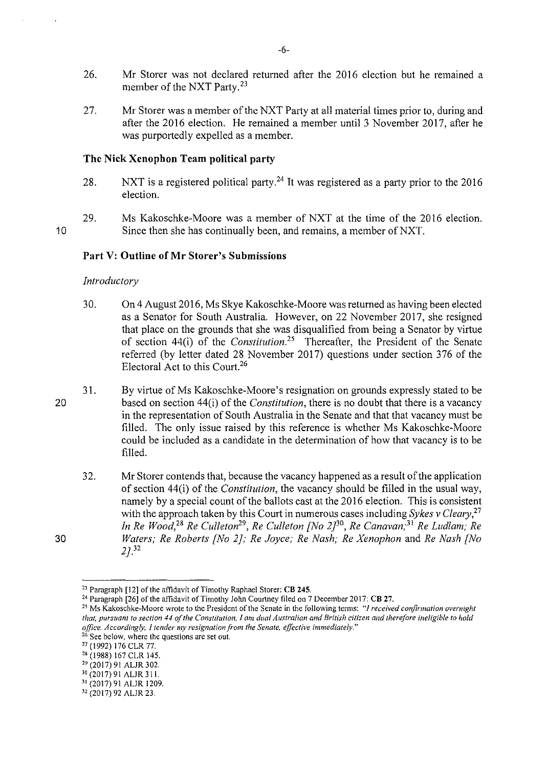- 26. Mr Storer was not declared returned after the 2016 election but he remained a member of the NXT Party.<sup>23</sup>
- 27. Mr Storer was a member of the NXT Party at all material times prior to, during and after the 2016 election. He remained a member until 3 November 2017, after he was purportedly expelled as a member.

## **The Nick Xenophon Team political party**

- 28. NXT is a registered political party.<sup>24</sup> It was registered as a party prior to the 2016 election.
- 29. Ms Kakoschke-Moore was a member of NXT at the time of the 2016 election. Since then she has continually been, and remains, a member of NXT.

# **Part V: Outline of Mr Storer's Submissions**

### *Introductory*

- 30. On 4 August 2016, Ms Skye Kakoschke-Moore was returned as having been elected as a Senator for South Australia. However, on 22 November 2017, she resigned that place on the grounds that she was disqualified from being a Senator by virtue of section 44(i) of the *Constitution*.<sup>25</sup> Thereafter, the President of the Senate referred (by letter dated 28 November 2017) questions under section 376 of the Electoral Act to this Court.<sup>26</sup>
- 31. By virtue of Ms Kakoschke-Moore's resignation on grounds expressly stated to be based on section 44(i) of the *Constitution,* there is no doubt that there is a vacancy in the representation of South Australia in the Senate and that that vacancy must be filled. The only issue raised by this reference is whether Ms Kakoschke-Moore could be included as a candidate in the determination of how that vacancy is to be filled.
	- 32. Mr Storer contends that, because the vacancy happened as a result of the application of section 44(i) of the *Constitution,* the vacancy should be filled in the usual way, namely by a special count of the ballots cast at the 2016 election. This is consistent with the approach taken by this Court in numerous cases including *Sykes v Cleary,<sup>27</sup> In Re Wood, 28 Re Cul/eton29, Re Cul/eton [No 2j3°, Re Canavan; 31 Re Ludlam; Re Waters; Re Roberts [No 2}; Re Joyce; Re Nash; Re Xenophon* and *Re Nash [No 2].32*

<sup>30</sup> (2017) 91 ALJR 311.<br><sup>31</sup> (2017) 91 ALJR 1209.

20

30

<sup>&</sup>lt;sup>23</sup> Paragraph [12] of the affidavit of Timothy Raphael Storer: CB 245.<br><sup>24</sup> Paragraph [26] of the affidavit of Timothy John Courtney filed on 7 December 2017: CB 27.

*<sup>25</sup>***Ms** Kakoschke~Moore **wrote to the President of the Senate in the following terms:** *"/received confinnation overnight that, pursuant to section 44oft he Constitution, I am dual Australian and British citizen and therefore ineligible to hold office. Accordingly, I tender my resignation from the Senate, effective immediately."* 

<sup>26</sup> **See below, where the questions are set out.** 

<sup>27</sup>(1992) 176 CLR 77.

<sup>&</sup>lt;sup>28</sup> (1988) 167 CLR 145.

<sup>29</sup>(20 17) 91 ALJR 302.

<sup>&</sup>lt;sup>32</sup> (2017) 92 ALJR 23.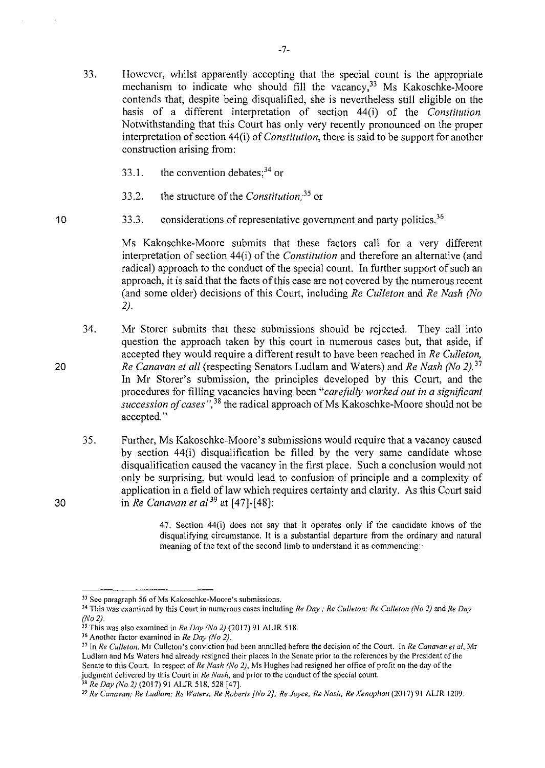- 33.1. the convention debates;  $3<sup>34</sup>$  or
- 33 .2. the structure of the *Constilution; <sup>35</sup>*or
- 33.3. considerations of representative government and party politics.<sup>36</sup>

Ms Kakoschke-Moore submits that these factors call for a very different interpretation of section 44(i) of the *Constitution* and therefore an alternative (and radical) approach to the conduct of the special count. In further support of such an approach, it is said that the facts of this case are not covered by the numerous recent (and some older) decisions of this Court, including *Re Culleton* and *Re Nash (No 2).* 

- 34. Mr Storer submits that these submissions should be rejected. They call into question the approach taken by this court in numerous cases but, that aside, if accepted they would require a different result to have been reached in *Re Cul/eton, Re Canavan et all* (respecting Senators Ludlam and Waters) and *Re Nash (No 2).* <sup>37</sup> In Mr Storer's submission, the principles developed by this Court, and the procedures for filling vacancies having been *"carefully worked out in a significant*  succession of cases<sup>", 38</sup> the radical approach of Ms Kakoschke-Moore should not be accepted."
- 35. Further, Ms Kakoschke-Moore's submissions would require that a vacancy caused by section 44(i) disqualification be filled by the very same candidate whose disqualification caused the vacancy in the first place. Such a conclusion would not only be surprising, but would lead to confusion of principle and a complexity of application in a field of law which requires certainty and clarity. As this Court said in *Re Canavan et al* <sup>39</sup> at [47]-[48]:

47. Section 44(i) does not say that it operates only if the candidate knows of the disqualifying circumstance. It is a substantial departure from the ordinary and natural meaning of the text of the second limb to understand it as commencing:

20

30

<sup>33</sup> **See paragraph 56 ofMs Kakoschke-Moore's submissions.** 

<sup>34</sup>**This was examined by this Court in numerous cases including** *Re Day: Re Culleton; Re Culleton (No 2)* **and** *Re Day (No 2).* 

<sup>&</sup>lt;sup>35</sup> This was also examined in *Re Day (No 2)* (2017) 91 ALJR 518. <sup>36</sup> Another factor examined in *Re Day (No 2).* 

<sup>37</sup>**In** *Re Culleton,* **Mr Culleton's conviction had been annulled before the decision of the Court. In** *Re Canavan et a/,* **Mr Ludlam and Ms Waters had already resigned their places in the Senate prior to the references by the President of the Senate to this Court. In respect of** *Re Nash (No 2},* **Ms Hughcs had resigned her office of profit on the day of the judgment delivered by this Court in** *Re Nash,* **and prior to the conduct of the special count.** 

<sup>38</sup>*Re Day (No.2)* (2017) 91 ALJR 518,528 [47]. 39 *Re Canavan; Re Ludlam; Re Waters; Re Roberts [No 2]; Re Joyce; Re Nash; Re Xenophon* **(2017) 91 ALJR 1209.**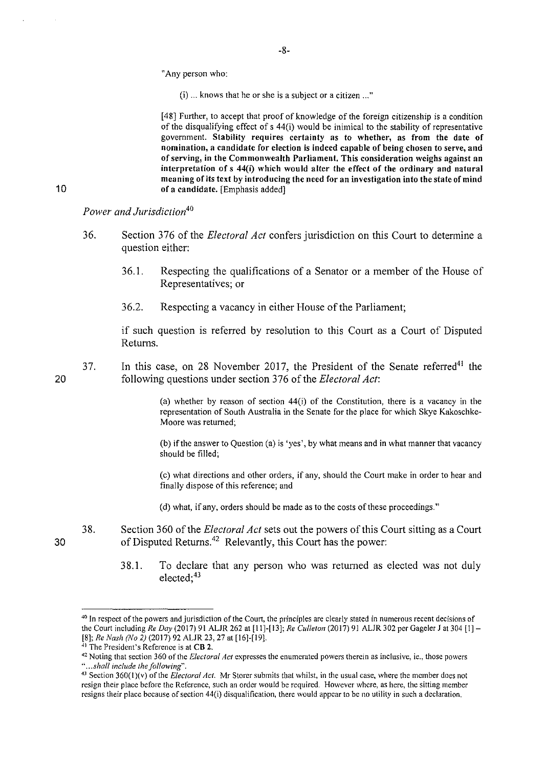#### "Any person who:

(i) ... knows that he or she is a subject or a citizen ... "

[48] Further, to accept that proof of knowledge of the foreign citizenship is a condition of the disqualifying effect of s 44(i) would be inimical to the stability of representative government. Stability requires certainty as to whether, as from the date of **nomination, a candidate for election is indeed capable of being chosen to serve, and**  of serving, in the Commonwealth Parliament. This consideration weighs against an interpretation of s 44(i) which would alter the effect of the ordinary and natural meaning of its text by introducing the need for an investigation into the state of mind of a candidate. [Emphasis added]

*Power and Jurisdiction<sup>40</sup>*

- 36. Section 376 of the *Electoral Act* confers jurisdiction on this Court to detennine a question either:
	- 36.1. Respecting the qualifications of a Senator or a member of the House of Representatives; or
	- 36.2. Respecting a vacancy in either House of the Parliament;

if such question is referred by resolution to this Court as a Court of Disputed Returns.

37. In this case, on 28 November 2017, the President of the Senate referred<sup>41</sup> the following questions under section 376 of the *Electoral Act:* 

> (a) whether by reason of section 44(i) of the Constitution, there is a vacancy in the representation of South Australia in the Senate for the place for which Skye Kakoschke-Moore was returned;

> (b) if the answer to Question (a) is 'yes', by what means and in what manner that vacancy should be filled;

> (c) what directions and other orders, if any, should the Court make in order to hear and finally dispose of this reference; and

(d) what, if any, orders should be made as to the costs of these proceedings."

- 38. Section 360 of the *Electoral Act* sets out the powers of this Court sitting as a Court of Disputed Returns.<sup>42</sup> Relevantly, this Court has the power:
	- 38.1. To declare that any person who was returned as elected was not duly  $e$ lected;<sup>43</sup>

-8-

20

30

<sup>&</sup>lt;sup>40</sup> In respect of the powers and jurisdiction of the Court, the principles are clearly stated in numerous recent decisions of the Court including *Re Day* (2017) 91 ALJR 262 at [11]-[13]; *Re Culleton* (2017) 91 ALJR 302 per Gageler J at 304 [1] -[8]; *Re Nash (No 2)* (2017) 92 ALJR 23, 27 at [16]-[19]. 41 The President's Reference is at **CB 2.** 

<sup>42</sup> Noting that section 360 of the *Electoral Act* expresses the enumerated powers therein as inclusive, ie., those powers *·' ... shall include the following".* 

<sup>43</sup> Section 360(1)(v) of the *Electoral Act*. Mr Storer submits that whilst, in the usual case, where the member does not resign their place before the Reference, such an order would be required. However where, as here, the sitting member resigns their place because of section 44(i) disqualification, there would appear to be no utility in such a declaration.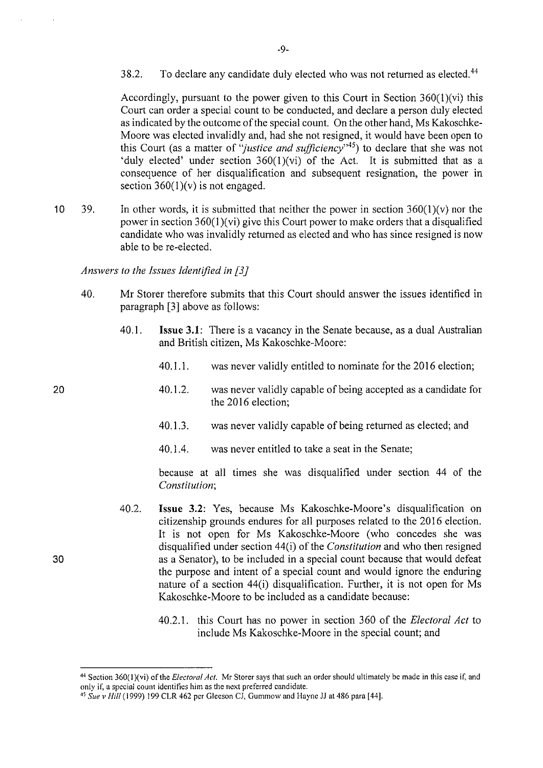38.2. To declare any candidate duly elected who was not returned as elected.<sup>44</sup>

Accordingly, pursuant to the power given to this Court in Section 360(l)(vi) this Court can order a special count to be conducted, and declare a person duly elected as indicated by the outcome of the special count. On the other hand, Ms Kakoschke-Moore was elected invalidly and, had she not resigned, it would have been open to this Court (as a matter of *"justice and sufficiency"45)* to declare that she was not 'duly elected' under section  $360(1)(vi)$  of the Act. It is submitted that as a consequence of her disqualification and subsequent resignation, the power in section  $360(1)(v)$  is not engaged.

10 39. In other words, it is submitted that neither the power in section  $360(1)(v)$  nor the power in section  $360(1)(vi)$  give this Court power to make orders that a disqualified candidate who was invalidly returned as elected and who has since resigned is now able to be re-elected.

*Answers to the Issues Identified in [3* J

- 40. Mr Storer therefore submits that this Court should answer the issues identified in paragraph [3] above as follows:
	- 40.1. **Issue 3.1:** There is a vacancy in the Senate because, as a dual Australian and British citizen, Ms Kakoschke-Moore:
		- 40.1.1. was never validly entitled to nominate for the 2016 election;
		- 40.1.2. was never validly capable of being accepted as a candidate for the 2016 election;
		- 40.1.3. was never validly capable of being returned as elected; and
		- 40.1.4. was never entitled to take a seat in the Senate;

because at all times she was disqualified under section 44 of the *Constitution;* 

- 40.2. **Issue 3.2:** Yes, because Ms Kakoschke-Moore's disqualification on citizenship grounds endures for all purposes related to the 2016 election. It is not open for Ms Kakoschke-Moore (who concedes she was disqualified under section 44(i) of the *Constitution* and who then resigned as a Senator), to be included in a special count because that would defeat the purpose and intent of a special count and would ignore the enduring nature of a section 44(i) disqualification. Further, it is not open for Ms Kakoschke-Moore to be included as a candidate because:
	- 40.2.1. this Court has no power in section 360 of the *Electoral Act* to include Ms Kakoschke-Moore in the special count; and

20

30

-9-

<sup>44</sup>**Section 360(1 )(vi) of the** *Electoral Act.* **Mr Storer says that such an order should ultimately be made in this case if, and only if, a special count identifies him as the next preferred candidate.** 

<sup>&</sup>lt;sup>45</sup> Sue v Hill (1999) 199 CLR 462 per Gleeson CJ, Gummow and Hayne JJ at 486 para [44].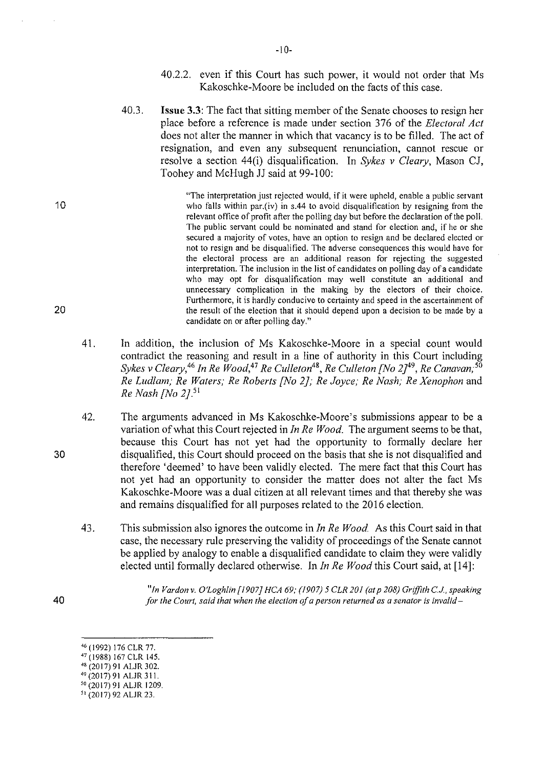- 40.2.2. even if this Court has such power, it would not order that Ms Kakoschke-Moore be included on the facts of this case.
- 40.3. **Issue 3.3:** The fact that sitting member of the Senate chooses to resign her place before a reference is made under section 376 of the *Electoral Act*  does not alter the manner in which that vacancy is to be filled. The act of resignation, and even any subsequent renunciation, cannot rescue or resolve a section 44(i) disqualification. In *Sykes v Cleary,* Mason CJ, Toohey and McHugh JJ said at 99-100:

"The interpretation just rejected would, if it were upheld, enable a public servant who falls within par.(iv) in s.44 to avoid disqualification by resigning from the relevant office of profit after the polling day but before the declaration of the poll. The public servant could be nominated and stand for election and, if he or she secured a majority of votes, have an option to resign and be declared elected or not to resign and be disqualified. The adverse consequences this would have for the electoral process are an additional reason for rejecting the suggested interpretation. The inclusion in the list of candidates on polling day of a candidate who may opt for disqualification may well constitute an additional and unnecessary complication in the making by the electors of their choice. Furthermore, it is hardly conducive to certainty and speed in the ascertainment of the result of the election that it should depend upon a decision to be made by a candidate on or after polling day."

- 41. In addition, the inclusion of Ms Kakoschke-Moore in a special count would contradict the reasoning and result in a line of authority in this Court including  $S$ ykes v Cleary,<sup>46</sup> In Re  $\breve{\bm{\it Wood}}$ ,<sup>47</sup> Re Culleton<sup>48</sup>, Re Culleton [No 2]<sup>49</sup>, Re Canavan;<sup>56</sup> *Re Ludlam; Re Waters; Re Roberts [No 2]; Re Joyce; Re Nash; Re Xenophon* and *Re Nash [No 2]*.<sup>51</sup>
- 42. The arguments advanced in Ms Kakoschke-Moore's submissions appear to be a variation of what this Court rejected in *In Re Wood.* The argument seems to be that, because this Court has not yet had the opportunity to formally declare her disqualified, this Court should proceed on the basis that she is not disqualified and therefore 'deemed' to have been validly elected. The mere fact that this Court has not yet had an opportunity to consider the matter does not alter the fact Ms Kakoschke-Moore was a dual citizen at all relevant times and that thereby she was and remains disqualified for all purposes related to the 2016 election.
- 43. This submission also ignores the outcome in *In Re Wood.* As this Court said in that case, the necessary rule preserving the validity of proceedings of the Senate cannot be applied by analogy to enable a disqualified candidate to claim they were validly elected until formally declared otherwise. In *In Re Wood* this Court said, at [14]:

*"In Vardon v. O'Loghlin [/907} HCA 69; (1907)* 5 *CLR 201 (otp 208) Griffith C.J, speaking for the Court, said that when the election of a person returned as a senator is invalid-*

20

10

30

<sup>46 (</sup> 1992) 176 CLR 77.

<sup>47</sup> (1988) 167 CLR 145.

<sup>48</sup> (20 17) 91 ALJR 302.

<sup>40</sup>(2017) 91 ALJR 311.

so (2017) 91 ALJR 1209.

<sup>51 (20 17) 92</sup> ALJR 23.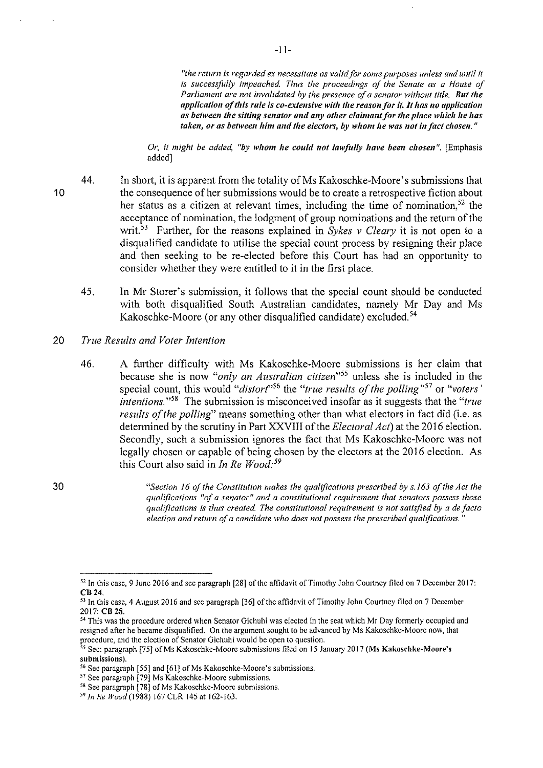*"the return is regarded ex necessitate as valid fOr some purposes unless and until it is successfully impeached. Thus the proceedings of the Senate as a House of Parliament are not invalidated by the presence of a senator without title. But the application of this rule is co-extensive with the reason for it. It has no application as between the sitting senator mu/ any other claimant for the place which he has taken, or as between him and the electors,* **by** *whom he was not in fact chosen."* 

*Or, it might be added, "by whom he could not lawfully have been chosen".* [Emphasis added]

- 44. In short, it is apparent from the totality of Ms Kakoschke-Moore's submissions that the consequence of her submissions would be to create a retrospective fiction about her status as a citizen at relevant times, including the time of nomination,<sup>52</sup> the acceptance of nomination, the lodgment of group nominations and the return of the writ.<sup>53</sup> Further, for the reasons explained in *Sykes v Cleary* it is not open to a disqualified candidate to utilise the special count process by resigning their place and then seeking to be re-elected before this Court has had an opportunity to consider whether they were entitled to it in the first place.
	- 45. In Mr Storer's submission, it follows that the special count should be conducted with both disqualified South Australian candidates, namely Mr Day and Ms Kakoschke-Moore (or any other disqualified candidate) excluded.<sup>54</sup>
- 20 *True Results and Voter Intention* 
	- 46. A further difficulty with Ms Kakoschke-Moore submissions is her claim that because she is now *"only an Australian citizen"55* unless she is included in the special count, this would *"distort"<sup>56</sup>*the *"true results oft he polling"57* or *"voters' intentions.* "58 The submission is misconceived insofar as it suggests that the *"true results of the polling"* means something other than what electors in fact did (i.e. as determined by the scrutiny in Part XXVIII of the *Electoral Act)* at the 2016 election. Secondly, such a submission ignores the fact that Ms Kakoschke-Moore was not legally chosen or capable of being chosen by the electors at the 2016 election. As this Court also said in *In Re Wood*:<sup>59</sup>

*"Section 16 of the Constitution makes the qualifications prescribed by s./63 of the Act the qualifications "of a senator" and a constitutional requirement that senators possess those qualifications is thus createcl The constitutional requirement is not satisfied by a de facto election and return of a candidate who does not possess the prescribed qualifications.*"

10

<sup>&</sup>lt;sup>52</sup> In this case, 9 June 2016 and see paragraph [28] of the affidavit of Timothy John Courtney filed on 7 December 2017: CB24.

<sup>&</sup>lt;sup>53</sup> In this case, 4 August 2016 and see paragraph [36] of the affidavit of Timothy John Courtney filed on 7 December 2017: **CB 28**.

<sup>&</sup>lt;sup>54</sup> This was the procedure ordered when Senator Gichuhi was elected in the seat which Mr Day formerly occupied and **resigned after he became disqualified. On the argument sought to be advanced by Ms Kakoschke-Moore now, that procedure, and the election of Senator Gichuhi would be open to question.** 

<sup>55</sup> See: paragraph [75] of Ms Kakoschke-Moore submissions filed on 15 January 2017 (Ms Kakoschke-Moore's **submissions).** 

<sup>56</sup> **Sec paragraph [55] and [61] ofMs Kakoschke-Moore's submissions.** 

<sup>57</sup> **See paragraph [79] Ms Kakoschke-Moorc submissions.** 

<sup>58</sup> **See paragraph [78] of Ms Kakoschke-Moore submissions.** 

<sup>59</sup> *In Re* Wood(l988) 167 CLR 145 at 162-163.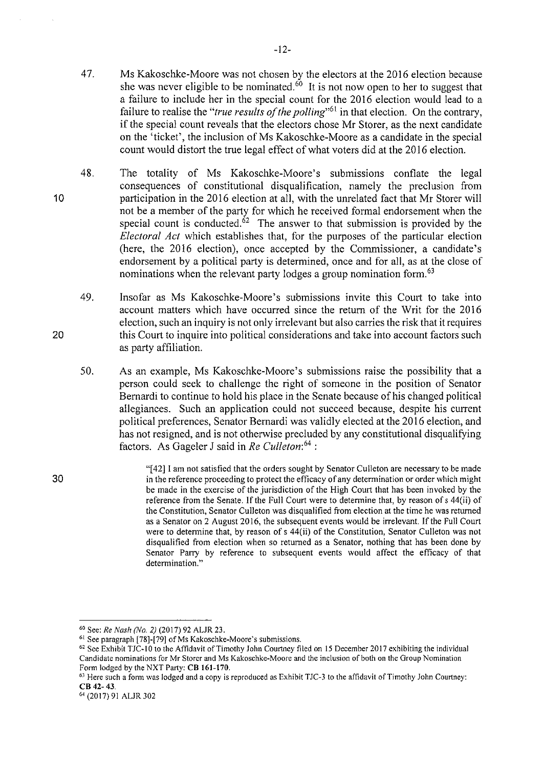- 47. Ms Kakoschke-Moore was not chosen by the electors at the 2016 election because she was never eligible to be nominated.<sup>60</sup> It is not now open to her to suggest that a failure to include her **in** the special count for the 2016 election would lead to a failure to realise the "*true results of the polling*"<sup>61</sup> in that election. On the contrary, if the special count reveals that the electors chose Mr Storer, as the next candidate on the 'ticket', the inclusion of Ms Kakoschke-Moore as a candidate in the special count would distort the true legal effect of what voters did at the 2016 election.
- 48. The totality of Ms Kakoschke-Moore's submissions conflate the legal consequences of constitutional disqualification, namely the preclusion from participation in the 2016 election at all, with the unrelated fact that Mr Storer will not be a member of the party for which he received formal endorsement when the special count is conducted.<sup> $\dot{\delta}^2$ </sup> The answer to that submission is provided by the *Electoral Act* which establishes that, for the purposes of the particular election (here, the 2016 election), once accepted by the Commissioner, a candidate's endorsement by a political party is determined, once and for all, as at the close of nominations when the relevant party lodges a group nomination form.<sup>63</sup>
	- 49. Insofar as Ms Kakoschke-Moore's submissions invite this Comt to take into account matters which have occurred since the return of the Writ for the 2016 election, such an inquiry is not only irrelevant but also carries the risk that it requires this Court to inquire into political considerations and take into account factors such as party affiliation.
	- 50. As an example, Ms Kakoschke-Moore's submissions raise the possibility that a person could seek to challenge the right of someone in the position of Senator Bernardi to continue to hold his place in the Senate because of his changed political allegiances. Such an application could not succeed because, despite his current political preferences, Senator Bernardi was validly elected at the 2016 election, and has not resigned, and is not otherwise precluded by any constitutional disqualifying factors. As Gageler **J** said in *Re Culleton: <sup>64</sup>*:
		- "[42] I am not satisfied that the orders sought by Senator Culleton are necessary to be made in the reference proceeding to protect the efficacy of any determination or order which might be made in the exercise of the jurisdiction of the High Court that has been invoked by the reference from the Senate. If the Full Court were to determine that, by reason of s 44(ii) of the Constitution, Senator Culleton was disqualified from election at the time he was returned as a Senator on 2 August 2016, the subsequent events would be irrelevant. If the Full Court were to detennine that, by reason of s 44(ii) of the Constitution, Senator Culleton was not disqualified from election when so returned as a Senator, nothing that has been done by Senator Parry by reference to subsequent events would affect the efficacy of that **determination."**

20

10

<sup>&</sup>lt;sup>60</sup> See: *Re Nash (No. 2)* (2017) 92 ALJR 23.<br><sup>61</sup> See paragraph [78]-[79] of Ms Kakoschke-Moore's submissions.

 $62$  See Exhibit TJC-10 to the Affidavit of Timothy John Courtney filed on 15 December 2017 exhibiting the individual **Candidate nominations for Mr Starer and Ms** Kakoschke~Moore **and the inclusion of both on the Group Nomination**  Form lodged by the NXT Party: **CB 161-170.** 

<sup>63</sup>**Here such a form was lodged and a copy is reproduced as Exhibit TJC-3 to the affidavit of Timothy John Courtney:**  CB 42-43.

<sup>64 (20 17) 91</sup> ALJR 302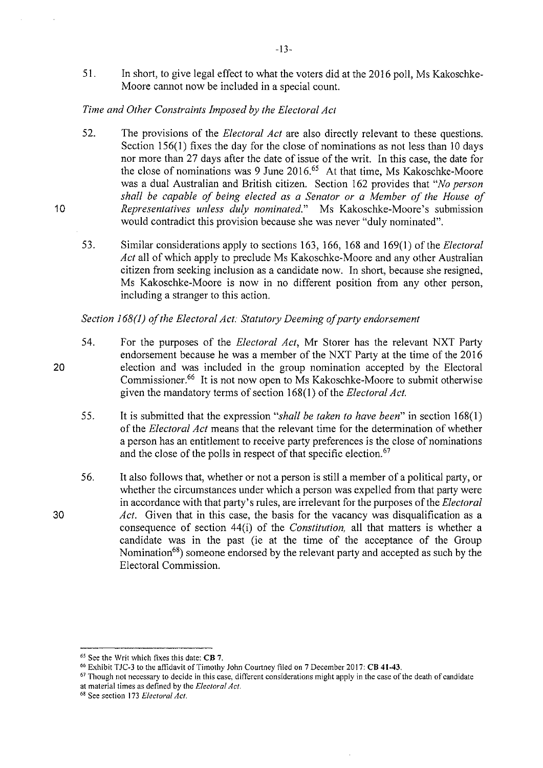51. In short, to give legal effect to what the voters did at the 2016 poll, Ms Kakoschke-Moore cannot now be included in a special count.

# *Time and Other Constraints Imposed by the Electoral Act*

10

20

30

- 52. The provisions of the *Electoral Act* are also directly relevant to these questions. Section  $156(1)$  fixes the day for the close of nominations as not less than 10 days nor more than 27 days after the date of issue of the writ. In this case, the date for the close of nominations was 9 June 2016.<sup>65</sup> At that time, Ms Kakoschke-Moore was a dual Australian and British citizen. Section 162 provides that *"No person shall be capable of being elected as a Senator or a Member of the House of Representatives unless duly nominated."* Ms Kakoschke-Moore's submission would contradict this provision because she was never "duly nominated".
- 53. Similar considerations apply to sections 163, 166, 168 and 169(1) of the *Electoral Act* all of which apply to preclude Ms Kakoschke-Moore and any other Australian citizen from seeking inclusion as a candidate now. In short, because she resigned, Ms Kakoschke-Moore is now in no different position from any other person, including a stranger to this action.

# *Section 168(1) of the Electoral Act: Statutory Deeming of party endorsement*

- 54. For the purposes of the *Electoral Act,* Mr Storer has the relevant NXT Party endorsement because he was a member of the NXT Party at the time of the 2016 election and was included in the group nomination accepted by the Electoral Commissioner.66 It is not now open to Ms Kakoschke-Moore to submit otherwise given the mandatory terms of section 168(1) of the *Electoral Act.* 
	- 55. It is submitted that the expression *"shall be taken to have been"* in section 168(1) of the *Electoral Act* means that the relevant time for the determination of whether a person has an entitlement to receive party preferences is the close of nominations and the close of the polls in respect of that specific election.<sup>67</sup>
- 56. It also follows that, whether or not a person is still a member of a political patiy, or whether the circumstances under which a person was expelled from that party were in accordance with that party's rules, are irrelevant for the purposes of the *Electoral Act.* Given that in this case, the basis for the vacancy was disqualification as a consequence of section 44(i) of the *Constitution,* all that matters is whether a candidate was in the past (ie at the time of the acceptance of the Group Nomination<sup>68</sup>) someone endorsed by the relevant party and accepted as such by the Electoral Commission.

-!3-

<sup>65</sup> **See the Writ which fixes this date: CB 7.** 

<sup>&</sup>lt;sup>66</sup> Exhibit TJC-3 to the affidavit of Timothy John Courtney filed on 7 December 2017: CB 41-43.

<sup>67</sup>**Though not necessary to decide in this case, different considerations might apply in the case of the death of candidate at material times as defined by the** *Electoral Act.* 

<sup>68</sup>**See section 173** *Electoral Act.*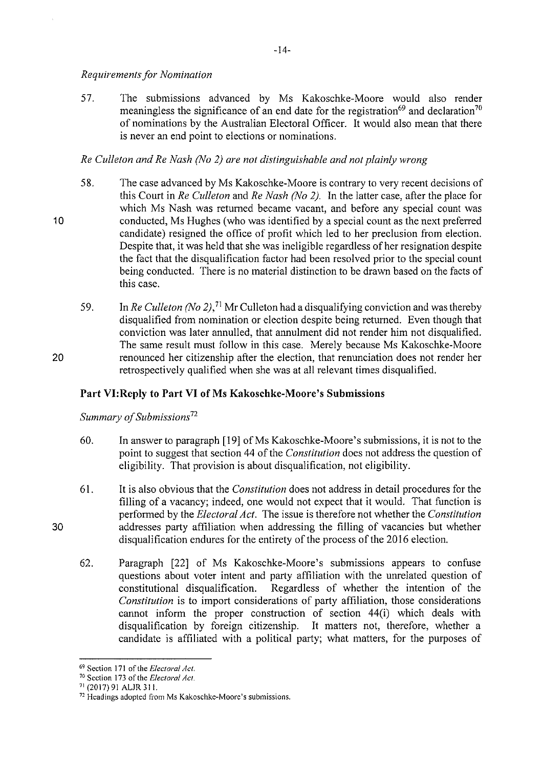# *Requirements for Nomination*

10

20

30

57. The submissions advanced by Ms Kakoschke-Moore would also render meaningless the significance of an end date for the registration<sup>69</sup> and declaration<sup>70</sup> of nominations by the Australian Electoral Officer. It would also mean that there is never an end point to elections or nominations.

# *Re Culleton and Re Nash (No 2) are not distinguishable and not plainly wrong*

- 58. The case advanced by Ms Kakoschke-Moore is contrary to very recent decisions of this Court in *Re Culleton* and *Re Nash (No 2).* In the latter case, after the place for which Ms Nash was returned became vacant, and before any special count was conducted, Ms Hughes (who was identified by a special count as the next prefened candidate) resigned the office of profit which led to her preclusion from election. Despite that, it was held that she was ineligible regardless of her resignation despite the fact that the disqualification factor had been resolved prior to the special count being conducted. There is no material distinction to be drawn based on the facts of this case.
- 59. In *Re Culleton (No 2),* 71 Mr Culleton had a disqualifying conviction and was thereby disqualified from nomination or election despite being returned. Even though that conviction was later annulled, that annulment did not render him not disqualified. The same result must follow in this case. Merely because Ms Kakoschke-Moore renounced her citizenship after the election, that renunciation does not render her retrospectively qualified when she was at all relevant times disqualified.

# **Part VI:Reply to Part VI of Ms Kakoschke-Moore's Submissions**

*Summary of Submissions*<sup>72</sup>

- 60. In answer to paragraph [19] ofMs Kakoschke-Moore's submissions, it is not to the point to suggest that section 44 of the *Constitution* does not address the question of eligibility. That provision is about disqualification, not eligibility.
- 61. It is also obvious that the *Constitution* does not address in detail procedures for the filling of a vacancy; indeed, one would not expect that it would. That function is performed by the *Electoral Act.* The issue is therefore not whether the *Constitution*  addresses party affiliation when addressing the filling of vacancies but whether disqualification endures for the entirety of the process of the 2016 election.
- 62. Paragraph [22] of Ms Kakoschke-Moore's submissions appears to confuse questions about voter intent and party affiliation with the unrelated question of constitutional disqualification. Regardless of whether the intention of the *Constitution* is to import considerations of party affiliation, those considerations cannot inform the proper construction of section 44(i) which deals with disqualification by foreign citizenship. It matters not, therefore, whether a candidate is affiliated with a political party; what matters, for the purposes of

<sup>69</sup>**Section 171 of the** *Electoral Act.* 

<sup>70</sup>**Section 173 of the** *Electoral Act.* 

<sup>&</sup>lt;sup>72</sup> Headings adopted from Ms Kakoschke-Moore's submissions.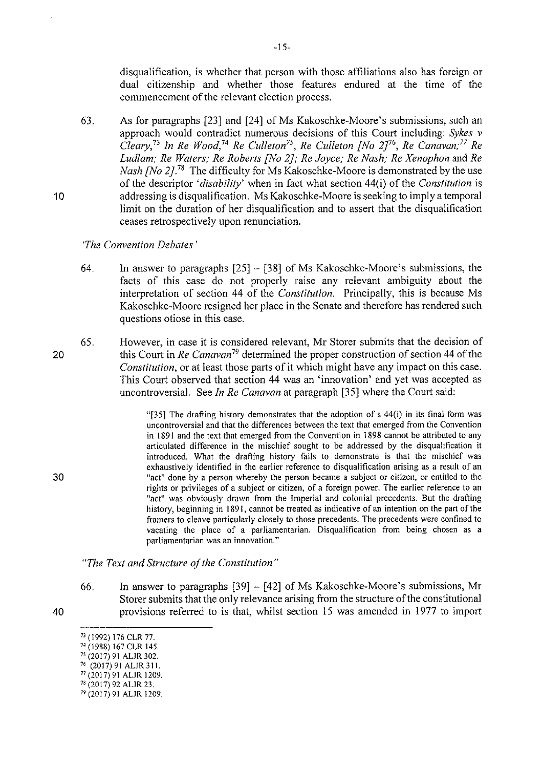disqualification, is whether that person with those affiliations also has foreign or dual citizenship and whether those features endured at the time of the commencement of the relevant election process.

63. As for paragraphs (23] and (24] of Ms Kakoschke-Moore's submissions, such an approach would contradict numerous decisions of this Court including: *Sykes v Cleary/ 3 In Re Wood,* <sup>74</sup>*Re Culleton75, Re Culleton [No 2/6, Re Canavan; 77 Re Ludlam; Re Waters; Re Roberts [No 2]; Re Joyce; Re Nash; Re Xenophon* and *Re Nash [No 2].*<sup>78</sup> The difficulty for Ms Kakoschke-Moore is demonstrated by the use of the descriptor *'disability'* when in fact what section 44(i) of the *Constitution* is addressing is disqualification. Ms Kakoschke-Moore is seeking to imply a temporal limit on the duration of her disqualification and to assert that the disqualification ceases retrospectively upon renunciation.

*'The Convention Debates'* 

- 64. In answer to paragraphs  $[25] [38]$  of Ms Kakoschke-Moore's submissions, the facts of this case do not properly raise any relevant ambiguity about the interpretation of section 44 of the *Constitution.* Principally, this is because Ms Kakoschke-Moore resigned her place in the Senate and therefore has rendered such questions otiose in this case.
- 65. However, in case it is considered relevant, Mr Starer submits that the decision of this Court in *Re Canavan* 79 determined the proper construction of section 44 of the *Constitution,* or at least those parts of it which might have any impact on this case. This Court observed that section 44 was an 'innovation' and yet was accepted as uncontroversial. See *In Re Canavan* at paragraph [35] where the Court said:

"[35] The drafting history demonstrates that the adoption of s 44(i) in its final form was uncontroversial and that the differences between the text that emerged from the Convention in 1891 and the text that emerged from the Convention in 1898 cannot be attributed to any articulated difference in the mischief sought to be addressed by the disqualification it introduced. What the drafting history fails to demonstrate is that the mischief was exhaustively identified in the earlier reference to disqualification arising as a result of an "act" done by a person whereby the person became a subject or citizen, or entitled to the rights or privileges of a subject or citizen, of a foreign power. The earlier reference to an "act" was obviously drawn from the Imperial and colonial precedents. But the drafting history, beginning in 1891, cannot be treated as indicative of an intention on the part of the framers to cleave particularly closely to those precedents. The precedents were confined to vacating the place of a parliamentarian. Disqualification from being chosen as a **parliamentarian was an innovation."** 

*"The Text and Structure of the Constitution"* 

66. In answer to paragraphs (39] - (42] of Ms Kakoschke-Moore's submissions, Mr Storer submits that the only relevance arising from the structure of the constitutional provisions referred to is that, whilst section 15 was amended in 1977 to import

- <sup>77</sup> (2017) 91 ALJR 1209.
- <sup>78</sup> (2017) 92 ALJR 23.

20

30

40

<sup>73 (1992) 176</sup> CLR 77.<br><sup>74</sup> (1988) 167 CLR 145.

<sup>&</sup>lt;sup>75</sup> (2017) 91 ALJR 302.<br><sup>76</sup> (2017) 91 ALJR 311.

<sup>79 (2017) 91</sup> ALJR 1209.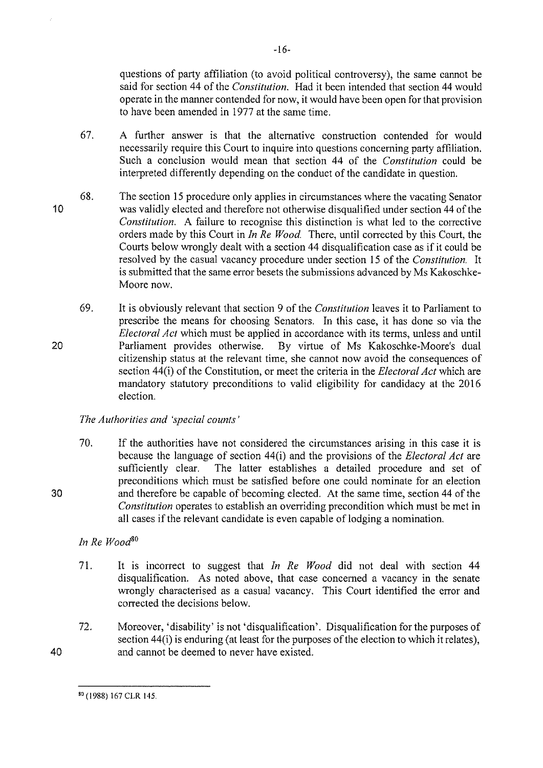questions of party affiliation (to avoid political controversy), the same cannot be said for section 44 of the *Constitution.* Had it been intended that section 44 would operate in the manner contended for now, it would have been open for that provision to have been amended in 1977 at the same time.

- 67. A further answer is that the alternative construction contended for would necessarily require this Court to inquire into questions concerning party affiliation. Such a conclusion would mean that section 44 of the *Constitution* could be interpreted differently depending on the conduct of the candidate in question.
- 10 68. The section 15 procedure only applies in circumstances where the vacating Senator was validly elected and therefore not otherwise disqualified under section 44 of the *Constitution.* A failure to recognise this distinction is what led to the corrective orders made by this Court in *In Re Wood.* There, until corrected by this Court, the Courts below wrongly dealt with a section 44 disqualification case as if it could be resolved by the casual vacancy procedure under section 15 of the *Constitution.* It is submitted that the same error besets the submissions advanced by Ms Kakoschke-Moore now.
- 20 69. It is obviously relevant that section 9 of the *Constitution* leaves it to Parliament to prescribe the means for choosing Senators. In this case, it has done so via the *Electoral Act* which must be applied in accordance with its terms, unless and until Parliament provides otherwise. By virtue of Ms Kakoschke-Moore's dual By virtue of Ms Kakoschke-Moore's dual citizenship status at the relevant time, she cannot now avoid the consequences of section 44(i) of the Constitution, or meet the criteria in the *Electoral Act* which are mandatory statutory preconditions to valid eligibility for candidacy at the 2016 election.

# *The Authorities and 'special counts'*

70. If the authorities have not considered the circumstances arising in this case it is because the language of section 44(i) and the provisions of the *Electoral Act* are sufficiently clear. The latter establishes a detailed procedure and set of preconditions which must be satisfied before one could nominate for an election and therefore be capable of becoming elected. At the same time, section 44 of the *Constitution* operates to establish an overriding precondition which must be met in all cases if the relevant candidate is even capable of lodging a nomination.

# *In Re Wootf<sup>0</sup>*

30

40

- 71. It is incorrect to suggest that *In Re Wood* did not deal with section 44 disqualification. As noted above, that case concerned a vacancy in the senate wrongly characterised as a casual vacancy. This Court identified the error and corrected the decisions below.
- 72. Moreover, 'disability' is not 'disqualification'. Disqualification for the purposes of section 44(i) is enduring (at least for the purposes of the election to which it relates), and cannot be deemed to never have existed.

-16-

<sup>80 (1988) 167</sup> CLR 145.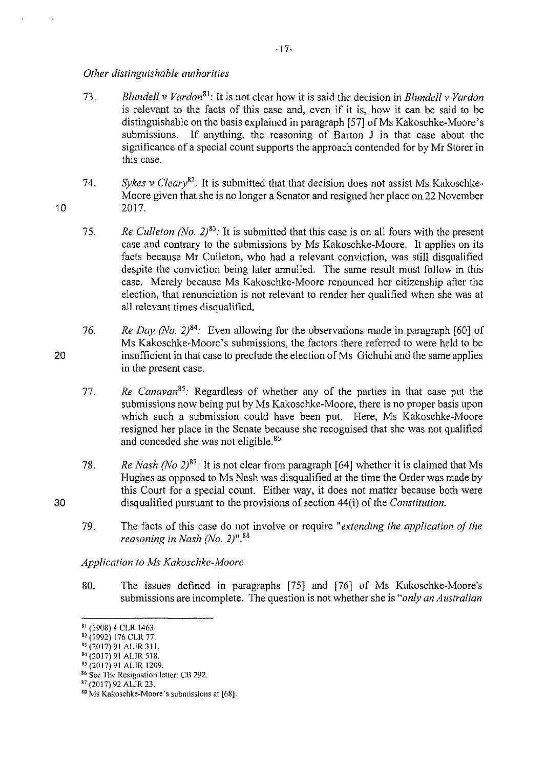## *Other distinguishable authorities*

10

20

30

- 73. *Blundell v Vardon* <sup>81</sup> : It is not clear how it is said the decision in *Blundell v Vardon*  is relevant to the facts of this case and, even if it is, how it can be said to be distinguishable on the basis explained in paragraph [57] of Ms Kakoschke-Moore's submissions. If anything, the reasoning of Barton J in that case about the significance of a special count supports the approach contended for by Mr Storer in this case.
- 74. *Sykes v Cleary*<sup>82</sup>: It is submitted that that decision does not assist Ms Kakoschke-Moore given that she is no longer a Senator and resigned her place on 22 November 2017.
- 75. *Re Culleton (No. 2)*<sup>83</sup>: It is submitted that this case is on all fours with the present case and contrary to the submissions by Ms Kakoschke-Moore. It applies on its facts because Mr Culleton, who had a relevant conviction, was still disqualified despite the conviction being later annulled. The same result must follow in this case. Merely because Ms Kakoschke-Moore renounced her citizenship after the election, that renunciation is not relevant to render her qualified when she was at all relevant times disqualified.
- 76. *Re Day (No. 2)*<sup>84</sup>. Even allowing for the observations made in paragraph [60] of Ms Kakoschke-Moore's submissions, the factors there referred to were held to be insufficient in that case to preclude the election of Ms Gichuhi and the same applies in the present case.
- 77. *Re Canavan85·* Regardless of whether any of the parties in that case put the submissions now being put by Ms Kakoschke-Moore, there is no proper basis upon which such a submission could have been put. Here, Ms Kakoschke-Moore resigned her place in the Senate because she recognised that she was not qualified and conceded she was not eligible. 86
- 78. *Re Nash (No 2)*<sup>87</sup>: It is not clear from paragraph [64] whether it is claimed that Ms Hughes as opposed to Ms Nash was disqualified at the time the Order was made by this Court for a special count. Either way, it does not matter because both were disqualified pursuant to the provisions of section 44(i) of the *Constitution.*
- 79. The facts of this case do not involve or require *"extending the application of the reasoning in Nash (No. 2)".* <sup>88</sup>

*Application toMs Kakoschke-Moore* 

80. The issues defined in paragraphs [75] and [76] of Ms Kakoschke-Moore's submissions are incomplete. The question is not whether she is *"only an Australian* 

 $81$  (1908) 4 CLR 1463.

<sup>82 (1992) 176</sup> CLR 77.

<sup>83 (2017) 91</sup> ALJR 311.

<sup>84 (2017) 91</sup> ALJR 518.<br>85 (2017) 91 ALJR 1209.

<sup>&</sup>lt;sup>86</sup> Sec The Resignation letter: CB 292.

<sup>87 (2017) 92</sup> ALJR 23.

<sup>&</sup>lt;sup>88</sup> Ms Kakoschke-Moore's submissions at [68].